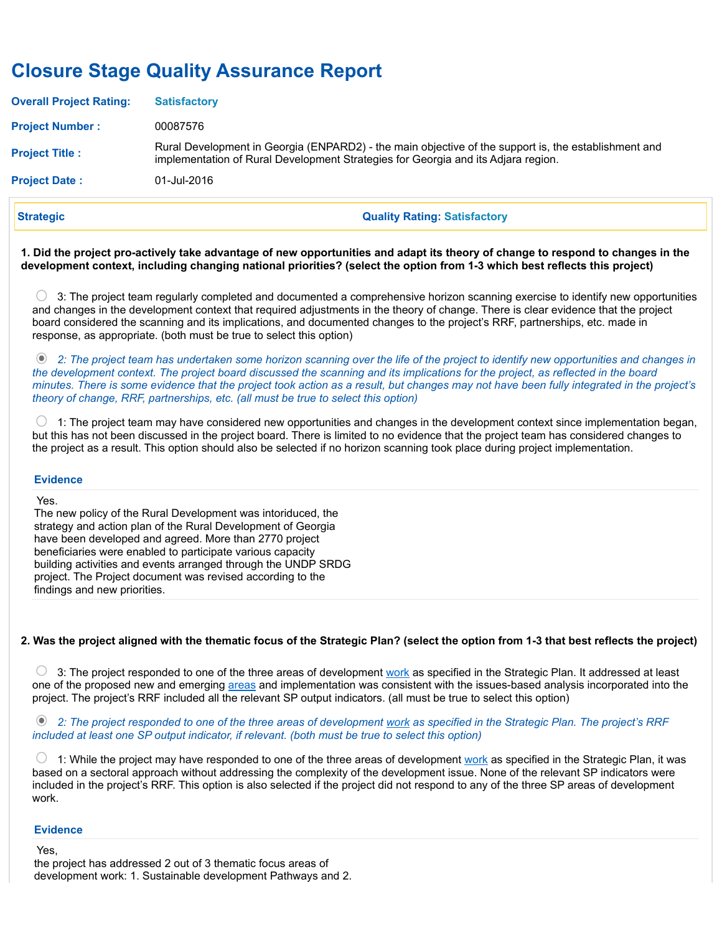# Closure Stage Quality Assurance Report

| <b>Project Date:</b>           | 01-Jul-2016                                                                                                                                                                               |
|--------------------------------|-------------------------------------------------------------------------------------------------------------------------------------------------------------------------------------------|
| <b>Project Title:</b>          | Rural Development in Georgia (ENPARD2) - the main objective of the support is, the establishment and<br>implementation of Rural Development Strategies for Georgia and its Adjara region. |
| <b>Project Number:</b>         | 00087576                                                                                                                                                                                  |
| <b>Overall Project Rating:</b> | <b>Satisfactory</b>                                                                                                                                                                       |

Strategic Quality Rating: Satisfactory

1. Did the project pro-actively take advantage of new opportunities and adapt its theory of change to respond to changes in the development context, including changing national priorities? (select the option from 1-3 which best reflects this project)

 3: The project team regularly completed and documented a comprehensive horizon scanning exercise to identify new opportunities and changes in the development context that required adjustments in the theory of change. There is clear evidence that the project board considered the scanning and its implications, and documented changes to the project's RRF, partnerships, etc. made in response, as appropriate. (both must be true to select this option)

 2: The project team has undertaken some horizon scanning over the life of the project to identify new opportunities and changes in the development context. The project board discussed the scanning and its implications for the project, as reflected in the board minutes. There is some evidence that the project took action as a result, but changes may not have been fully integrated in the project's theory of change, RRF, partnerships, etc. (all must be true to select this option)

O 1: The project team may have considered new opportunities and changes in the development context since implementation began, but this has not been discussed in the project board. There is limited to no evidence that the project team has considered changes to the project as a result. This option should also be selected if no horizon scanning took place during project implementation.

#### **Evidence**

Yes.

The new policy of the Rural Development was intoriduced, the strategy and action plan of the Rural Development of Georgia have been developed and agreed. More than 2770 project beneficiaries were enabled to participate various capacity building activities and events arranged through the UNDP SRDG project. The Project document was revised according to the findings and new priorities.

# 2. Was the project aligned with the thematic focus of the Strategic Plan? (select the option from 1-3 that best reflects the project)

 3: The project responded to one of the three areas of development work as specified in the Strategic Plan. It addressed at least one of the proposed new and emerging areas and implementation was consistent with the issues-based analysis incorporated into the project. The project's RRF included all the relevant SP output indicators. (all must be true to select this option)

<sup>®</sup> 2: The project responded to one of the three areas of development work as specified in the Strategic Plan. The project's RRF included at least one SP output indicator, if relevant. (both must be true to select this option)

 $\circ$  1: While the project may have responded to one of the three areas of development work as specified in the Strategic Plan, it was based on a sectoral approach without addressing the complexity of the development issue. None of the relevant SP indicators were included in the project's RRF. This option is also selected if the project did not respond to any of the three SP areas of development work.

#### **Evidence**

Yes,

the project has addressed 2 out of 3 thematic focus areas of development work: 1. Sustainable development Pathways and 2.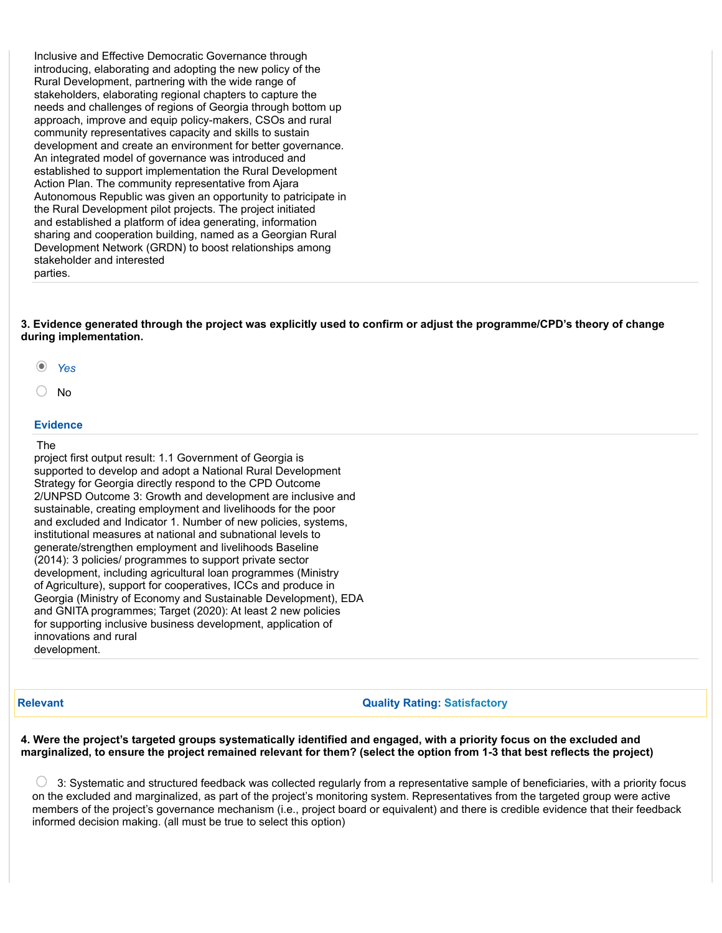Inclusive and Effective Democratic Governance through introducing, elaborating and adopting the new policy of the Rural Development, partnering with the wide range of stakeholders, elaborating regional chapters to capture the needs and challenges of regions of Georgia through bottom up approach, improve and equip policy-makers, CSOs and rural community representatives capacity and skills to sustain development and create an environment for better governance. An integrated model of governance was introduced and established to support implementation the Rural Development Action Plan. The community representative from Ajara Autonomous Republic was given an opportunity to patricipate in the Rural Development pilot projects. The project initiated and established a platform of idea generating, information sharing and cooperation building, named as a Georgian Rural Development Network (GRDN) to boost relationships among stakeholder and interested parties.

3. Evidence generated through the project was explicitly used to confirm or adjust the programme/CPD's theory of change during implementation.

Yes

No

#### Evidence

#### The

project first output result: 1.1 Government of Georgia is supported to develop and adopt a National Rural Development Strategy for Georgia directly respond to the CPD Outcome 2/UNPSD Outcome 3: Growth and development are inclusive and sustainable, creating employment and livelihoods for the poor and excluded and Indicator 1. Number of new policies, systems, institutional measures at national and subnational levels to generate/strengthen employment and livelihoods Baseline (2014): 3 policies/ programmes to support private sector development, including agricultural loan programmes (Ministry of Agriculture), support for cooperatives, ICCs and produce in Georgia (Ministry of Economy and Sustainable Development), EDA and GNITA programmes; Target (2020): At least 2 new policies for supporting inclusive business development, application of innovations and rural development.

#### **Relevant Communist Relevant Communist Relevant Communist Communist Communist Communist Communist Communist Communist Communist Communist Communist Communist Communist Communist Communist Communist Communist Communist Comm**

4. Were the project's targeted groups systematically identified and engaged, with a priority focus on the excluded and marginalized, to ensure the project remained relevant for them? (select the option from 1-3 that best reflects the project)

0 3: Systematic and structured feedback was collected regularly from a representative sample of beneficiaries, with a priority focus on the excluded and marginalized, as part of the project's monitoring system. Representatives from the targeted group were active members of the project's governance mechanism (i.e., project board or equivalent) and there is credible evidence that their feedback informed decision making. (all must be true to select this option)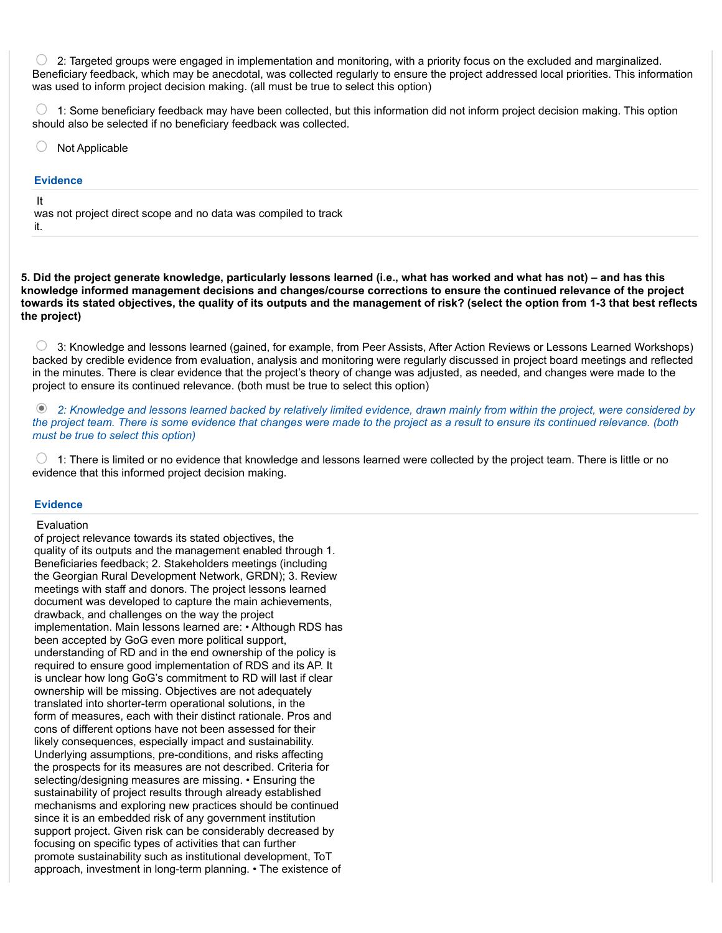∩ 2: Targeted groups were engaged in implementation and monitoring, with a priority focus on the excluded and marginalized. Beneficiary feedback, which may be anecdotal, was collected regularly to ensure the project addressed local priorities. This information was used to inform project decision making. (all must be true to select this option)

 $\bigcirc$  1: Some beneficiary feedback may have been collected, but this information did not inform project decision making. This option should also be selected if no beneficiary feedback was collected.

○ Not Applicable

#### **Evidence**

It

was not project direct scope and no data was compiled to track it.

5. Did the project generate knowledge, particularly lessons learned (i.e., what has worked and what has not) – and has this knowledge informed management decisions and changes/course corrections to ensure the continued relevance of the project towards its stated objectives, the quality of its outputs and the management of risk? (select the option from 1-3 that best reflects the project)

 $\circ$  3: Knowledge and lessons learned (gained, for example, from Peer Assists, After Action Reviews or Lessons Learned Workshops) backed by credible evidence from evaluation, analysis and monitoring were regularly discussed in project board meetings and reflected in the minutes. There is clear evidence that the project's theory of change was adjusted, as needed, and changes were made to the project to ensure its continued relevance. (both must be true to select this option)

 2: Knowledge and lessons learned backed by relatively limited evidence, drawn mainly from within the project, were considered by the project team. There is some evidence that changes were made to the project as a result to ensure its continued relevance. (both must be true to select this option)

 $\bigcirc$  1: There is limited or no evidence that knowledge and lessons learned were collected by the project team. There is little or no evidence that this informed project decision making.

#### **Evidence**

#### Evaluation

of project relevance towards its stated objectives, the quality of its outputs and the management enabled through 1. Beneficiaries feedback; 2. Stakeholders meetings (including the Georgian Rural Development Network, GRDN); 3. Review meetings with staff and donors. The project lessons learned document was developed to capture the main achievements, drawback, and challenges on the way the project implementation. Main lessons learned are: • Although RDS has been accepted by GoG even more political support, understanding of RD and in the end ownership of the policy is required to ensure good implementation of RDS and its AP. It is unclear how long GoG's commitment to RD will last if clear ownership will be missing. Objectives are not adequately translated into shorter-term operational solutions, in the form of measures, each with their distinct rationale. Pros and cons of different options have not been assessed for their likely consequences, especially impact and sustainability. Underlying assumptions, pre-conditions, and risks affecting the prospects for its measures are not described. Criteria for selecting/designing measures are missing. • Ensuring the sustainability of project results through already established mechanisms and exploring new practices should be continued since it is an embedded risk of any government institution support project. Given risk can be considerably decreased by focusing on specific types of activities that can further promote sustainability such as institutional development, ToT approach, investment in long-term planning. • The existence of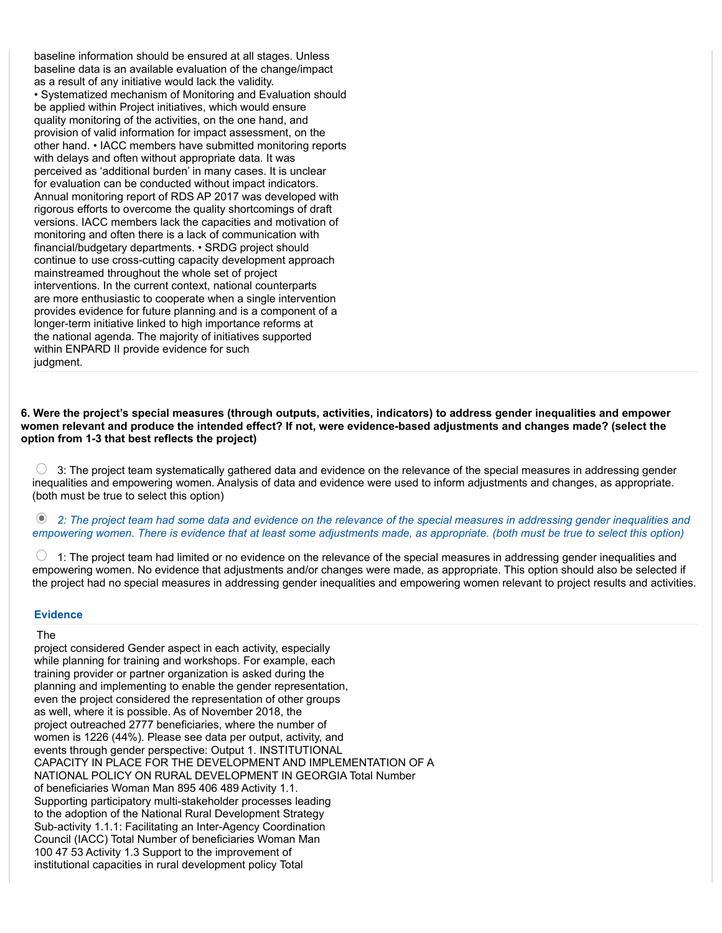baseline information should be ensured at all stages. Unless baseline data is an available evaluation of the change/impact as a result of any initiative would lack the validity. • Systematized mechanism of Monitoring and Evaluation should be applied within Project initiatives, which would ensure quality monitoring of the activities, on the one hand, and provision of valid information for impact assessment, on the other hand. • IACC members have submitted monitoring reports with delays and often without appropriate data. It was perceived as 'additional burden' in many cases. It is unclear for evaluation can be conducted without impact indicators. Annual monitoring report of RDS AP 2017 was developed with rigorous efforts to overcome the quality shortcomings of draft versions. IACC members lack the capacities and motivation of monitoring and often there is a lack of communication with financial/budgetary departments. • SRDG project should continue to use cross-cutting capacity development approach mainstreamed throughout the whole set of project interventions. In the current context, national counterparts are more enthusiastic to cooperate when a single intervention provides evidence for future planning and is a component of a longer-term initiative linked to high importance reforms at the national agenda. The majority of initiatives supported within ENPARD II provide evidence for such judgment.

6. Were the project's special measures (through outputs, activities, indicators) to address gender inequalities and empower women relevant and produce the intended effect? If not, were evidence-based adjustments and changes made? (select the option from 1-3 that best reflects the project)

 $\bigcirc$  3: The project team systematically gathered data and evidence on the relevance of the special measures in addressing gender inequalities and empowering women. Analysis of data and evidence were used to inform adjustments and changes, as appropriate. (both must be true to select this option)

 2: The project team had some data and evidence on the relevance of the special measures in addressing gender inequalities and empowering women. There is evidence that at least some adjustments made, as appropriate. (both must be true to select this option)

O 1: The project team had limited or no evidence on the relevance of the special measures in addressing gender inequalities and empowering women. No evidence that adjustments and/or changes were made, as appropriate. This option should also be selected if the project had no special measures in addressing gender inequalities and empowering women relevant to project results and activities.

#### **Evidence**

# The

project considered Gender aspect in each activity, especially while planning for training and workshops. For example, each training provider or partner organization is asked during the planning and implementing to enable the gender representation, even the project considered the representation of other groups as well, where it is possible. As of November 2018, the project outreached 2777 beneficiaries, where the number of women is 1226 (44%). Please see data per output, activity, and events through gender perspective: Output 1. INSTITUTIONAL CAPACITY IN PLACE FOR THE DEVELOPMENT AND IMPLEMENTATION OF A NATIONAL POLICY ON RURAL DEVELOPMENT IN GEORGIA Total Number of beneficiaries Woman Man 895 406 489 Activity 1.1. Supporting participatory multi-stakeholder processes leading to the adoption of the National Rural Development Strategy Sub-activity 1.1.1: Facilitating an Inter-Agency Coordination Council (IACC) Total Number of beneficiaries Woman Man 100 47 53 Activity 1.3 Support to the improvement of institutional capacities in rural development policy Total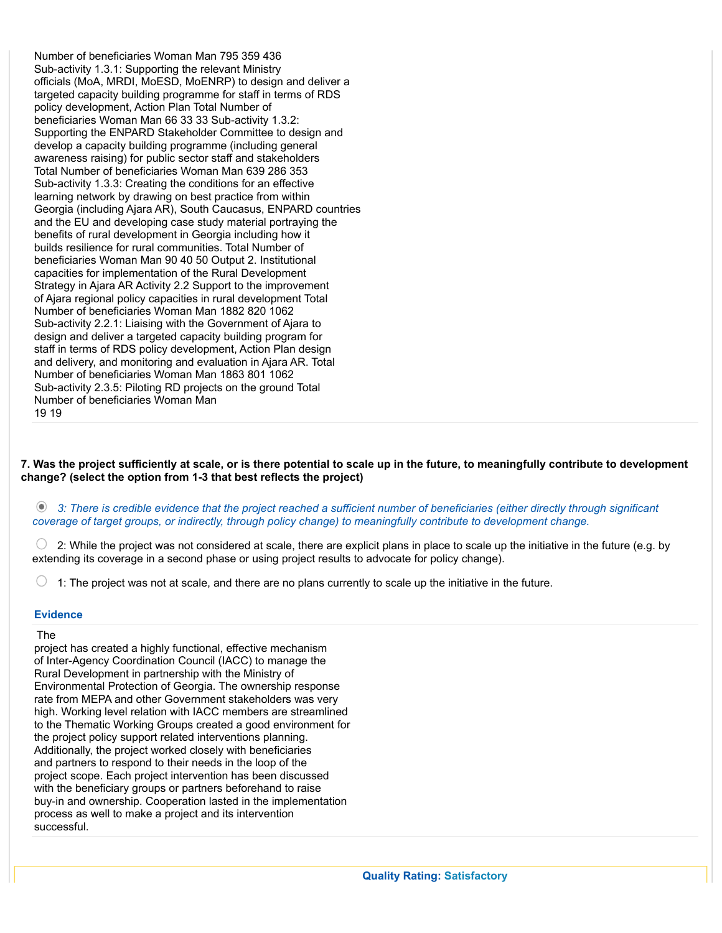Number of beneficiaries Woman Man 795 359 436 Sub-activity 1.3.1: Supporting the relevant Ministry officials (MoA, MRDI, MoESD, MoENRP) to design and deliver a targeted capacity building programme for staff in terms of RDS policy development, Action Plan Total Number of beneficiaries Woman Man 66 33 33 Sub-activity 1.3.2: Supporting the ENPARD Stakeholder Committee to design and develop a capacity building programme (including general awareness raising) for public sector staff and stakeholders Total Number of beneficiaries Woman Man 639 286 353 Sub-activity 1.3.3: Creating the conditions for an effective learning network by drawing on best practice from within Georgia (including Ajara AR), South Caucasus, ENPARD countries and the EU and developing case study material portraying the benefits of rural development in Georgia including how it builds resilience for rural communities. Total Number of beneficiaries Woman Man 90 40 50 Output 2. Institutional capacities for implementation of the Rural Development Strategy in Ajara AR Activity 2.2 Support to the improvement of Ajara regional policy capacities in rural development Total Number of beneficiaries Woman Man 1882 820 1062 Sub-activity 2.2.1: Liaising with the Government of Ajara to design and deliver a targeted capacity building program for staff in terms of RDS policy development, Action Plan design and delivery, and monitoring and evaluation in Ajara AR. Total Number of beneficiaries Woman Man 1863 801 1062 Sub-activity 2.3.5: Piloting RD projects on the ground Total Number of beneficiaries Woman Man 19 19

7. Was the project sufficiently at scale, or is there potential to scale up in the future, to meaningfully contribute to development change? (select the option from 1-3 that best reflects the project)

 3: There is credible evidence that the project reached a sufficient number of beneficiaries (either directly through significant coverage of target groups, or indirectly, through policy change) to meaningfully contribute to development change.

 2: While the project was not considered at scale, there are explicit plans in place to scale up the initiative in the future (e.g. by extending its coverage in a second phase or using project results to advocate for policy change).

1: The project was not at scale, and there are no plans currently to scale up the initiative in the future.

# **Evidence**

#### The

project has created a highly functional, effective mechanism of Inter-Agency Coordination Council (IACC) to manage the Rural Development in partnership with the Ministry of Environmental Protection of Georgia. The ownership response rate from MEPA and other Government stakeholders was very high. Working level relation with IACC members are streamlined to the Thematic Working Groups created a good environment for the project policy support related interventions planning. Additionally, the project worked closely with beneficiaries and partners to respond to their needs in the loop of the project scope. Each project intervention has been discussed with the beneficiary groups or partners beforehand to raise buy-in and ownership. Cooperation lasted in the implementation process as well to make a project and its intervention successful.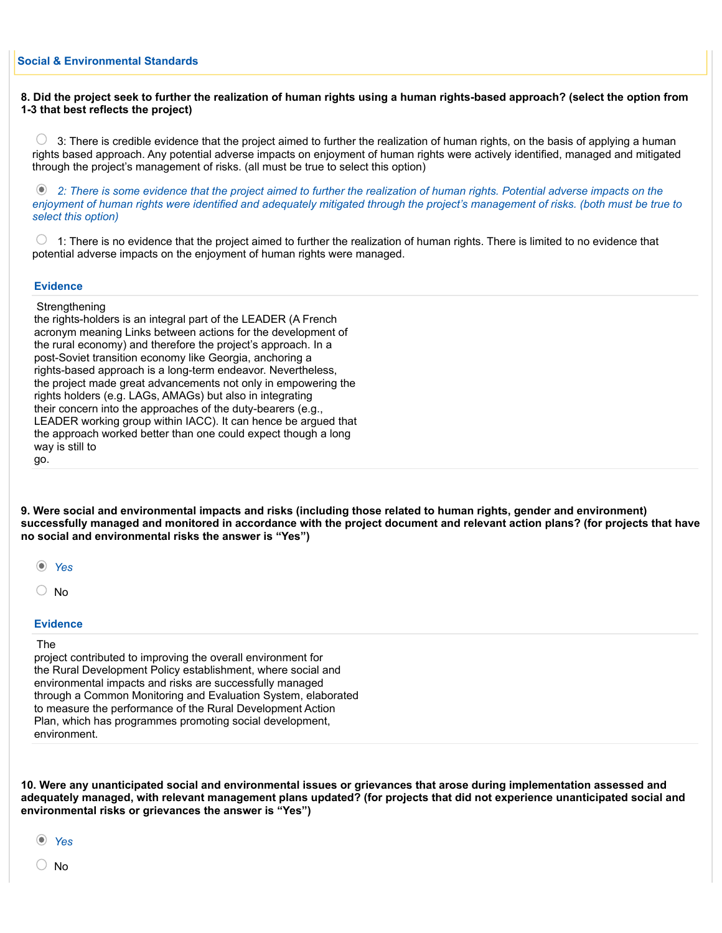# 8. Did the project seek to further the realization of human rights using a human rights-based approach? (select the option from 1-3 that best reflects the project)

 $\cup$  3: There is credible evidence that the project aimed to further the realization of human rights, on the basis of applying a human rights based approach. Any potential adverse impacts on enjoyment of human rights were actively identified, managed and mitigated through the project's management of risks. (all must be true to select this option)

 2: There is some evidence that the project aimed to further the realization of human rights. Potential adverse impacts on the enjoyment of human rights were identified and adequately mitigated through the project's management of risks. (both must be true to select this option)

 $\circ$  1: There is no evidence that the project aimed to further the realization of human rights. There is limited to no evidence that potential adverse impacts on the enjoyment of human rights were managed.

#### **Evidence**

**Strengthening** 

the rights-holders is an integral part of the LEADER (A French acronym meaning Links between actions for the development of the rural economy) and therefore the project's approach. In a post-Soviet transition economy like Georgia, anchoring a rights-based approach is a long-term endeavor. Nevertheless, the project made great advancements not only in empowering the rights holders (e.g. LAGs, AMAGs) but also in integrating their concern into the approaches of the duty-bearers (e.g., LEADER working group within IACC). It can hence be argued that the approach worked better than one could expect though a long way is still to go.

9. Were social and environmental impacts and risks (including those related to human rights, gender and environment) successfully managed and monitored in accordance with the project document and relevant action plans? (for projects that have no social and environmental risks the answer is "Yes")

 $\bigcirc$  No

#### **Evidence**

#### The

project contributed to improving the overall environment for the Rural Development Policy establishment, where social and environmental impacts and risks are successfully managed through a Common Monitoring and Evaluation System, elaborated to measure the performance of the Rural Development Action Plan, which has programmes promoting social development, environment.

10. Were any unanticipated social and environmental issues or grievances that arose during implementation assessed and adequately managed, with relevant management plans updated? (for projects that did not experience unanticipated social and environmental risks or grievances the answer is "Yes")

Yes

 $\cup$  No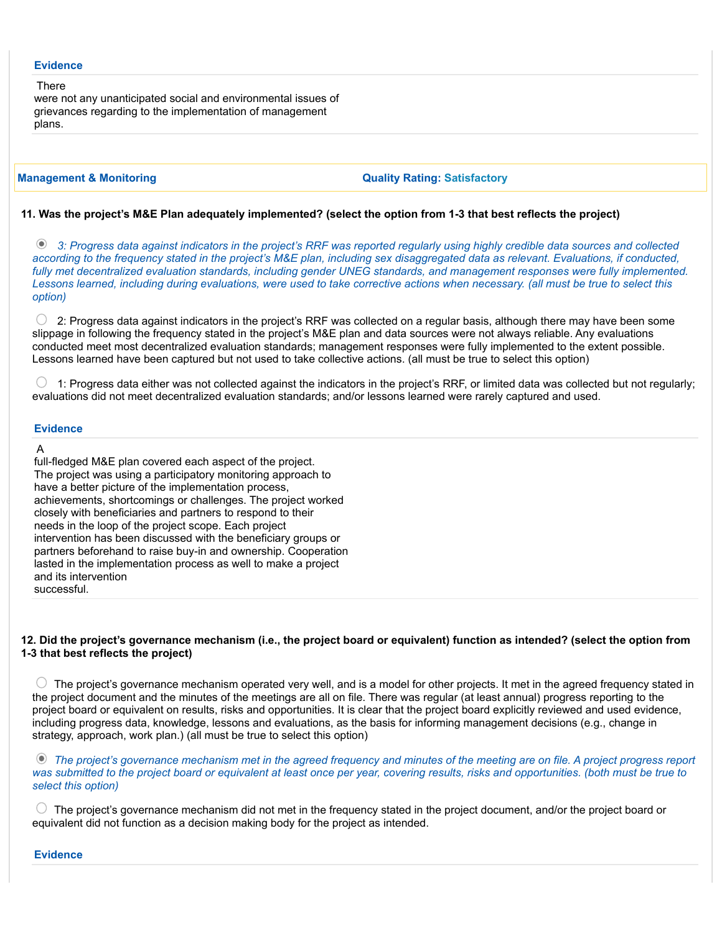#### **Evidence**

There were not any unanticipated social and environmental issues of grievances regarding to the implementation of management plans.

Management & Monitoring Quality Rating: Satisfactory

#### 11. Was the project's M&E Plan adequately implemented? (select the option from 1-3 that best reflects the project)

 3: Progress data against indicators in the project's RRF was reported regularly using highly credible data sources and collected according to the frequency stated in the project's M&E plan, including sex disaggregated data as relevant. Evaluations, if conducted, fully met decentralized evaluation standards, including gender UNEG standards, and management responses were fully implemented. Lessons learned, including during evaluations, were used to take corrective actions when necessary. (all must be true to select this option)

 $\bigcirc$  2: Progress data against indicators in the project's RRF was collected on a regular basis, although there may have been some slippage in following the frequency stated in the project's M&E plan and data sources were not always reliable. Any evaluations conducted meet most decentralized evaluation standards; management responses were fully implemented to the extent possible. Lessons learned have been captured but not used to take collective actions. (all must be true to select this option)

 1: Progress data either was not collected against the indicators in the project's RRF, or limited data was collected but not regularly; evaluations did not meet decentralized evaluation standards; and/or lessons learned were rarely captured and used.

## **Evidence**

#### A

full-fledged M&E plan covered each aspect of the project. The project was using a participatory monitoring approach to have a better picture of the implementation process, achievements, shortcomings or challenges. The project worked closely with beneficiaries and partners to respond to their needs in the loop of the project scope. Each project intervention has been discussed with the beneficiary groups or partners beforehand to raise buy-in and ownership. Cooperation lasted in the implementation process as well to make a project and its intervention successful.

# 12. Did the project's governance mechanism (i.e., the project board or equivalent) function as intended? (select the option from 1-3 that best reflects the project)

 $\circlearrowright$  The project's governance mechanism operated very well, and is a model for other projects. It met in the agreed frequency stated in the project document and the minutes of the meetings are all on file. There was regular (at least annual) progress reporting to the project board or equivalent on results, risks and opportunities. It is clear that the project board explicitly reviewed and used evidence, including progress data, knowledge, lessons and evaluations, as the basis for informing management decisions (e.g., change in strategy, approach, work plan.) (all must be true to select this option)

The project's governance mechanism met in the agreed frequency and minutes of the meeting are on file. A project progress report was submitted to the project board or equivalent at least once per year, covering results, risks and opportunities. (both must be true to select this option)

 $\circlearrowright$  The project's governance mechanism did not met in the frequency stated in the project document, and/or the project board or equivalent did not function as a decision making body for the project as intended.

#### **Evidence**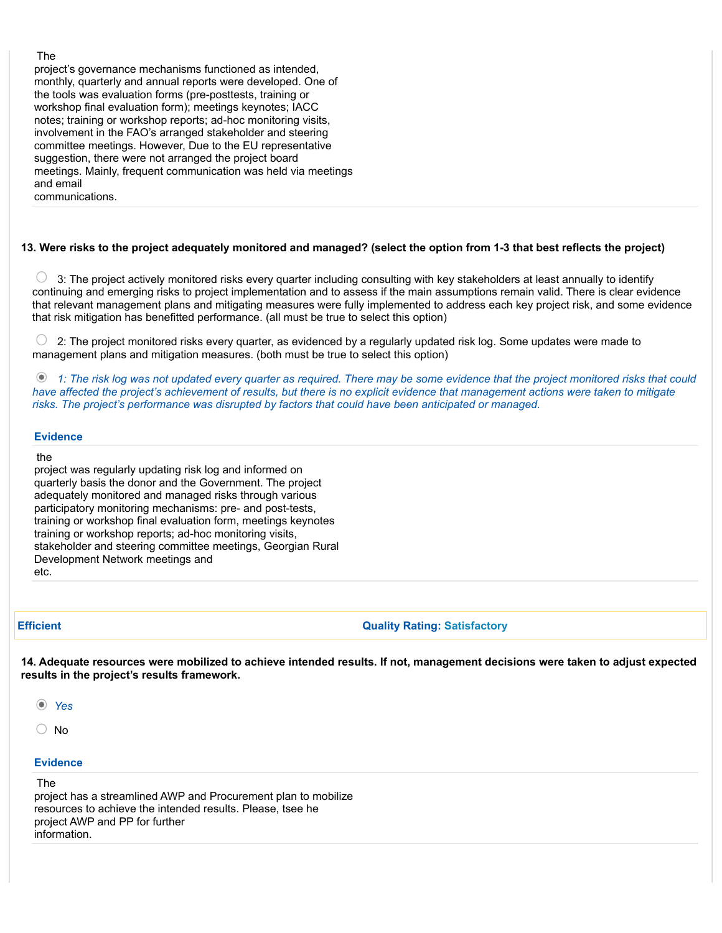#### The

project's governance mechanisms functioned as intended, monthly, quarterly and annual reports were developed. One of the tools was evaluation forms (pre-posttests, training or workshop final evaluation form); meetings keynotes; IACC notes; training or workshop reports; ad-hoc monitoring visits, involvement in the FAO's arranged stakeholder and steering committee meetings. However, Due to the EU representative suggestion, there were not arranged the project board meetings. Mainly, frequent communication was held via meetings and email

#### communications.

#### 13. Were risks to the project adequately monitored and managed? (select the option from 1-3 that best reflects the project)

 $\circlearrowright$  3: The project actively monitored risks every quarter including consulting with key stakeholders at least annually to identify continuing and emerging risks to project implementation and to assess if the main assumptions remain valid. There is clear evidence that relevant management plans and mitigating measures were fully implemented to address each key project risk, and some evidence that risk mitigation has benefitted performance. (all must be true to select this option)

 $\bigcirc$  2: The project monitored risks every quarter, as evidenced by a regularly updated risk log. Some updates were made to management plans and mitigation measures. (both must be true to select this option)

 1: The risk log was not updated every quarter as required. There may be some evidence that the project monitored risks that could have affected the project's achievement of results, but there is no explicit evidence that management actions were taken to mitigate risks. The project's performance was disrupted by factors that could have been anticipated or managed.

#### **Evidence**

#### the

project was regularly updating risk log and informed on quarterly basis the donor and the Government. The project adequately monitored and managed risks through various participatory monitoring mechanisms: pre- and post-tests, training or workshop final evaluation form, meetings keynotes training or workshop reports; ad-hoc monitoring visits, stakeholder and steering committee meetings, Georgian Rural Development Network meetings and etc.

#### **Efficient** Contract Contract Contract Contract Contract Contract Contract Contract Contract Contract Contract Contract Contract Contract Contract Contract Contract Contract Contract Contract Contract Contract Contract Con

14. Adequate resources were mobilized to achieve intended results. If not, management decisions were taken to adjust expected results in the project's results framework.

- Yes
- $\bigcirc$  No

#### **Evidence**

#### The

project has a streamlined AWP and Procurement plan to mobilize resources to achieve the intended results. Please, tsee he project AWP and PP for further information.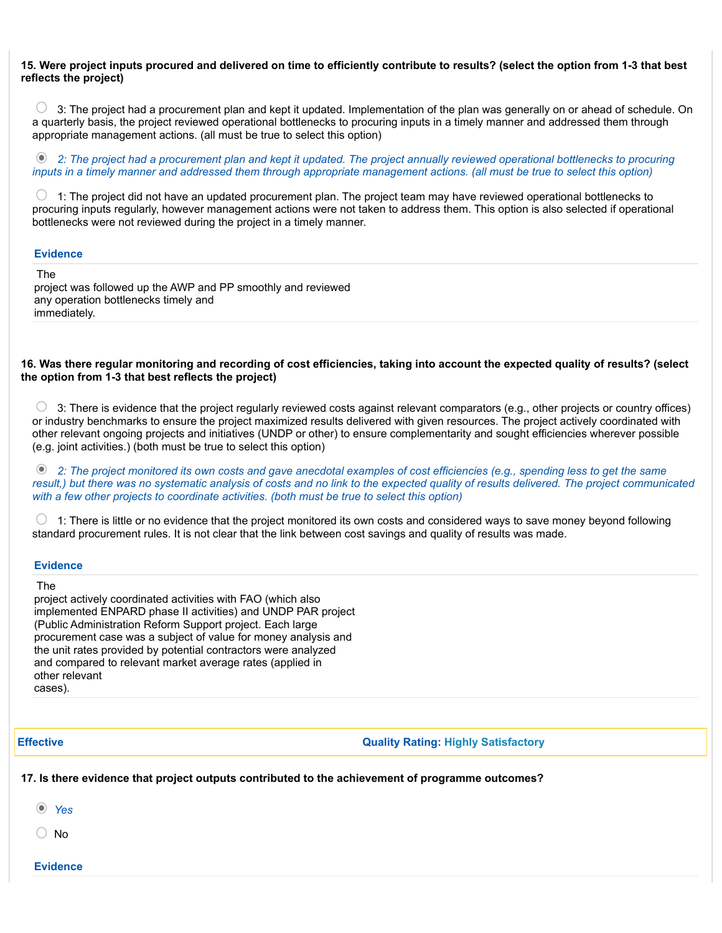# 15. Were project inputs procured and delivered on time to efficiently contribute to results? (select the option from 1-3 that best reflects the project)

 $\bigcirc$  3: The project had a procurement plan and kept it updated. Implementation of the plan was generally on or ahead of schedule. On a quarterly basis, the project reviewed operational bottlenecks to procuring inputs in a timely manner and addressed them through appropriate management actions. (all must be true to select this option)

 2: The project had a procurement plan and kept it updated. The project annually reviewed operational bottlenecks to procuring inputs in a timely manner and addressed them through appropriate management actions. (all must be true to select this option)

 $\bigcirc$  1: The project did not have an updated procurement plan. The project team may have reviewed operational bottlenecks to procuring inputs regularly, however management actions were not taken to address them. This option is also selected if operational bottlenecks were not reviewed during the project in a timely manner.

#### **Evidence**

The

project was followed up the AWP and PP smoothly and reviewed any operation bottlenecks timely and immediately.

### 16. Was there regular monitoring and recording of cost efficiencies, taking into account the expected quality of results? (select the option from 1-3 that best reflects the project)

 $\circ$  3: There is evidence that the project regularly reviewed costs against relevant comparators (e.g., other projects or country offices) or industry benchmarks to ensure the project maximized results delivered with given resources. The project actively coordinated with other relevant ongoing projects and initiatives (UNDP or other) to ensure complementarity and sought efficiencies wherever possible (e.g. joint activities.) (both must be true to select this option)

 2: The project monitored its own costs and gave anecdotal examples of cost efficiencies (e.g., spending less to get the same result,) but there was no systematic analysis of costs and no link to the expected quality of results delivered. The project communicated with a few other projects to coordinate activities. (both must be true to select this option)

 1: There is little or no evidence that the project monitored its own costs and considered ways to save money beyond following standard procurement rules. It is not clear that the link between cost savings and quality of results was made.

#### **Evidence**

The

project actively coordinated activities with FAO (which also implemented ENPARD phase II activities) and UNDP PAR project (Public Administration Reform Support project. Each large procurement case was a subject of value for money analysis and the unit rates provided by potential contractors were analyzed and compared to relevant market average rates (applied in other relevant cases).

# Effective Quality Rating: Highly Satisfactory

# 17. Is there evidence that project outputs contributed to the achievement of programme outcomes?

Yes

No

**Evidence**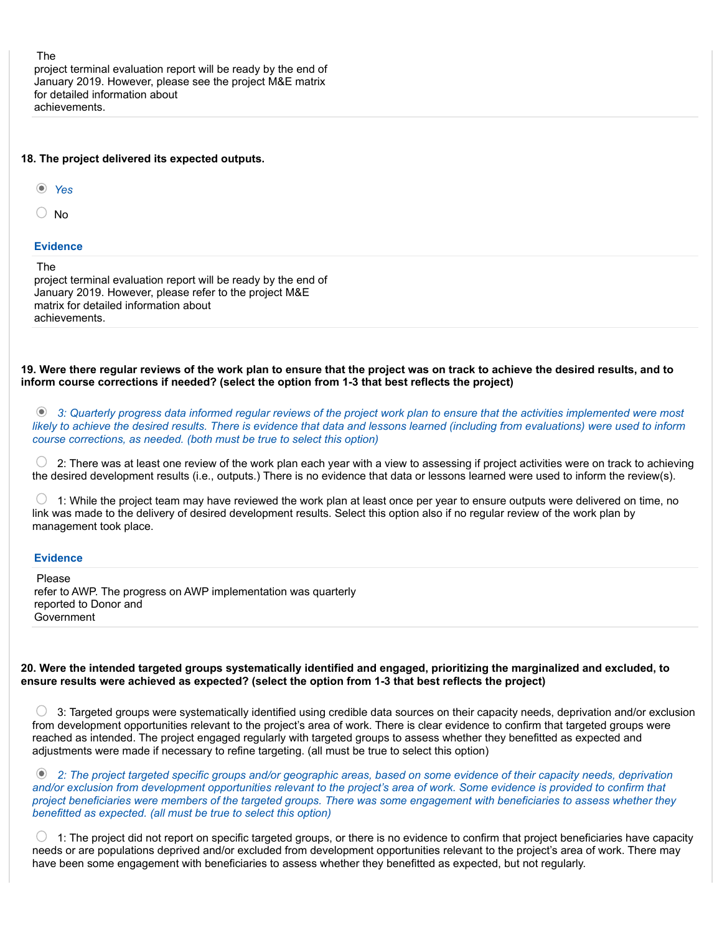The project terminal evaluation report will be ready by the end of January 2019. However, please see the project M&E matrix for detailed information about achievements.

|  |  |  | 18. The project delivered its expected outputs. |  |  |
|--|--|--|-------------------------------------------------|--|--|
|--|--|--|-------------------------------------------------|--|--|

Yes

 $\bigcirc$  No

#### **Evidence**

The

project terminal evaluation report will be ready by the end of January 2019. However, please refer to the project M&E matrix for detailed information about achievements.

19. Were there regular reviews of the work plan to ensure that the project was on track to achieve the desired results, and to inform course corrections if needed? (select the option from 1-3 that best reflects the project)

 3: Quarterly progress data informed regular reviews of the project work plan to ensure that the activities implemented were most likely to achieve the desired results. There is evidence that data and lessons learned (including from evaluations) were used to inform course corrections, as needed. (both must be true to select this option)

 $\bigcirc$  2: There was at least one review of the work plan each vear with a view to assessing if project activities were on track to achieving the desired development results (i.e., outputs.) There is no evidence that data or lessons learned were used to inform the review(s).

 $\bigcirc$  1: While the project team may have reviewed the work plan at least once per year to ensure outputs were delivered on time, no link was made to the delivery of desired development results. Select this option also if no regular review of the work plan by management took place.

## **Evidence**

Please refer to AWP. The progress on AWP implementation was quarterly reported to Donor and Government

#### 20. Were the intended targeted groups systematically identified and engaged, prioritizing the marginalized and excluded, to ensure results were achieved as expected? (select the option from 1-3 that best reflects the project)

 $\bigcirc$  3: Targeted groups were systematically identified using credible data sources on their capacity needs, deprivation and/or exclusion from development opportunities relevant to the project's area of work. There is clear evidence to confirm that targeted groups were reached as intended. The project engaged regularly with targeted groups to assess whether they benefitted as expected and adjustments were made if necessary to refine targeting. (all must be true to select this option)

 2: The project targeted specific groups and/or geographic areas, based on some evidence of their capacity needs, deprivation and/or exclusion from development opportunities relevant to the project's area of work. Some evidence is provided to confirm that project beneficiaries were members of the targeted groups. There was some engagement with beneficiaries to assess whether they benefitted as expected. (all must be true to select this option)

 $\bigcirc$  1: The project did not report on specific targeted groups, or there is no evidence to confirm that project beneficiaries have capacity needs or are populations deprived and/or excluded from development opportunities relevant to the project's area of work. There may have been some engagement with beneficiaries to assess whether they benefitted as expected, but not regularly.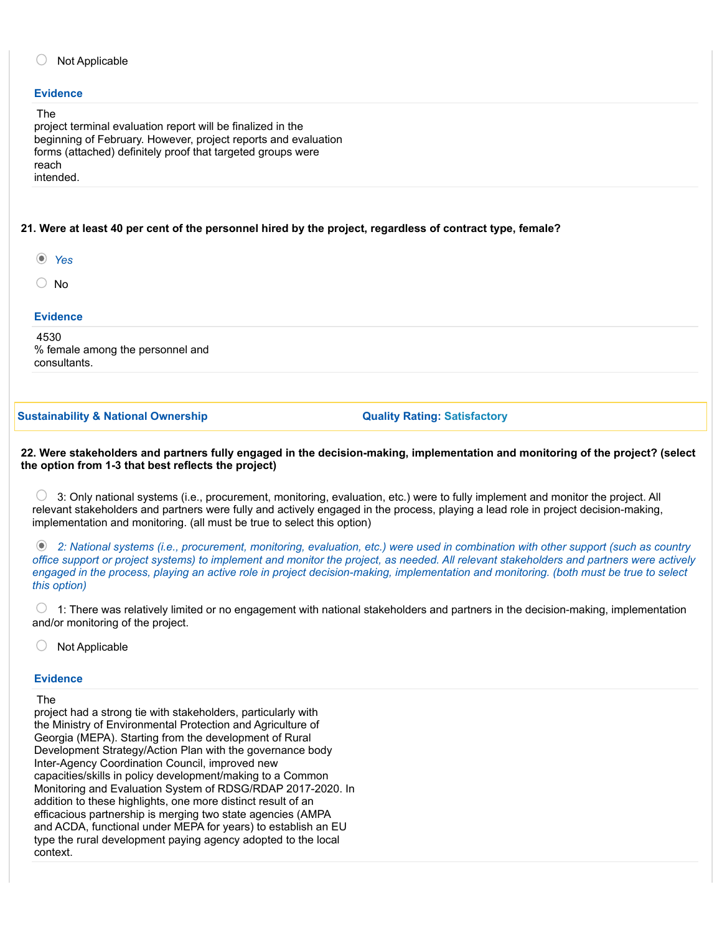# Not Applicable

#### **Evidence**

#### The

project terminal evaluation report will be finalized in the beginning of February. However, project reports and evaluation forms (attached) definitely proof that targeted groups were reach intended.

## 21. Were at least 40 per cent of the personnel hired by the project, regardless of contract type, female?

- Yes
- $\bigcirc$  No

#### **Evidence**

4530 % female among the personnel and consultants.

Sustainability & National Ownership Cuality Rating: Satisfactory

22. Were stakeholders and partners fully engaged in the decision-making, implementation and monitoring of the project? (select the option from 1-3 that best reflects the project)

 $\bigcirc$  3: Only national systems (i.e., procurement, monitoring, evaluation, etc.) were to fully implement and monitor the project. All relevant stakeholders and partners were fully and actively engaged in the process, playing a lead role in project decision-making, implementation and monitoring. (all must be true to select this option)

 2: National systems (i.e., procurement, monitoring, evaluation, etc.) were used in combination with other support (such as country office support or project systems) to implement and monitor the project, as needed. All relevant stakeholders and partners were actively engaged in the process, playing an active role in project decision-making, implementation and monitoring. (both must be true to select this option)

 $\circ$  1: There was relatively limited or no engagement with national stakeholders and partners in the decision-making, implementation and/or monitoring of the project.

Not Applicable

#### **Evidence**

#### The

project had a strong tie with stakeholders, particularly with the Ministry of Environmental Protection and Agriculture of Georgia (MEPA). Starting from the development of Rural Development Strategy/Action Plan with the governance body Inter-Agency Coordination Council, improved new capacities/skills in policy development/making to a Common Monitoring and Evaluation System of RDSG/RDAP 2017-2020. In addition to these highlights, one more distinct result of an efficacious partnership is merging two state agencies (AMPA and ACDA, functional under MEPA for years) to establish an EU type the rural development paying agency adopted to the local context.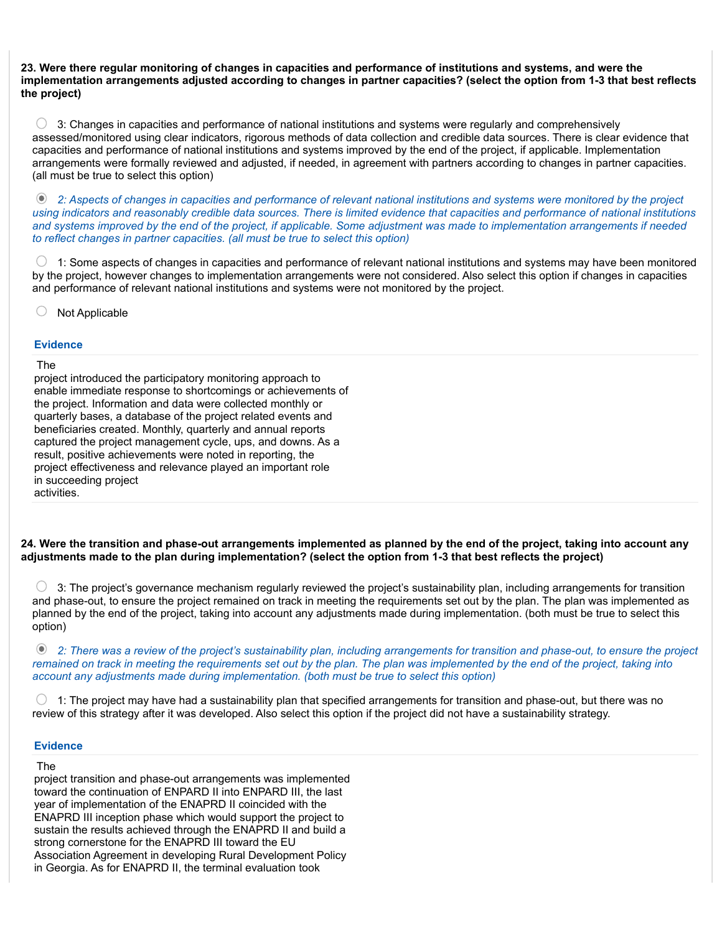#### 23. Were there regular monitoring of changes in capacities and performance of institutions and systems, and were the implementation arrangements adjusted according to changes in partner capacities? (select the option from 1-3 that best reflects the project)

 $\bigcirc$  3: Changes in capacities and performance of national institutions and systems were regularly and comprehensively assessed/monitored using clear indicators, rigorous methods of data collection and credible data sources. There is clear evidence that capacities and performance of national institutions and systems improved by the end of the project, if applicable. Implementation arrangements were formally reviewed and adjusted, if needed, in agreement with partners according to changes in partner capacities. (all must be true to select this option)

 2: Aspects of changes in capacities and performance of relevant national institutions and systems were monitored by the project using indicators and reasonably credible data sources. There is limited evidence that capacities and performance of national institutions and systems improved by the end of the project, if applicable. Some adjustment was made to implementation arrangements if needed to reflect changes in partner capacities. (all must be true to select this option)

 $\circlearrowright$  1: Some aspects of changes in capacities and performance of relevant national institutions and systems may have been monitored by the project, however changes to implementation arrangements were not considered. Also select this option if changes in capacities and performance of relevant national institutions and systems were not monitored by the project.

 $\circ$  Not Applicable

#### **Evidence**

#### The

project introduced the participatory monitoring approach to enable immediate response to shortcomings or achievements of the project. Information and data were collected monthly or quarterly bases, a database of the project related events and beneficiaries created. Monthly, quarterly and annual reports captured the project management cycle, ups, and downs. As a result, positive achievements were noted in reporting, the project effectiveness and relevance played an important role in succeeding project activities.

# 24. Were the transition and phase-out arrangements implemented as planned by the end of the project, taking into account any adjustments made to the plan during implementation? (select the option from 1-3 that best reflects the project)

 $\bigcirc$  3: The project's governance mechanism regularly reviewed the project's sustainability plan, including arrangements for transition and phase-out, to ensure the project remained on track in meeting the requirements set out by the plan. The plan was implemented as planned by the end of the project, taking into account any adjustments made during implementation. (both must be true to select this option)

 2: There was a review of the project's sustainability plan, including arrangements for transition and phase-out, to ensure the project remained on track in meeting the requirements set out by the plan. The plan was implemented by the end of the project, taking into account any adjustments made during implementation. (both must be true to select this option)

O 1: The project may have had a sustainability plan that specified arrangements for transition and phase-out, but there was no review of this strategy after it was developed. Also select this option if the project did not have a sustainability strategy.

### **Evidence**

#### The

project transition and phase-out arrangements was implemented toward the continuation of ENPARD II into ENPARD III, the last year of implementation of the ENAPRD II coincided with the ENAPRD III inception phase which would support the project to sustain the results achieved through the ENAPRD II and build a strong cornerstone for the ENAPRD III toward the EU Association Agreement in developing Rural Development Policy in Georgia. As for ENAPRD II, the terminal evaluation took